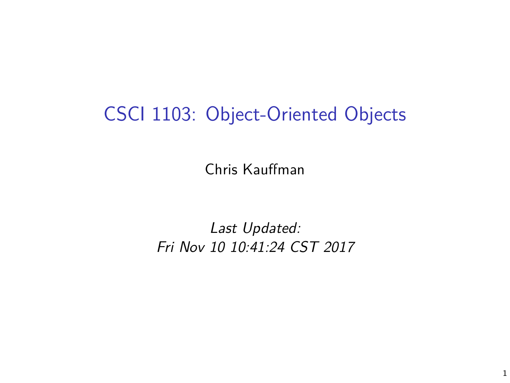# CSCI 1103: Object-Oriented Objects

Chris Kauffman

Last Updated: Fri Nov 10 10:41:24 CST 2017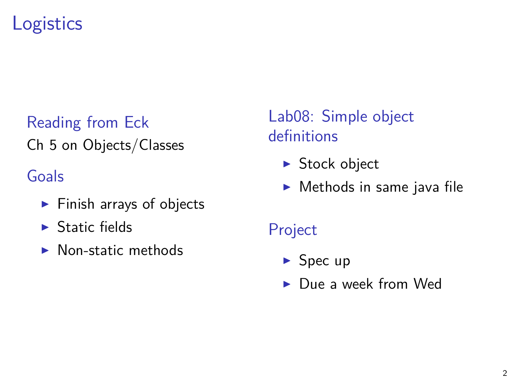# **Logistics**

#### Reading from Eck Ch 5 on Objects/Classes

#### Goals

- $\blacktriangleright$  Finish arrays of objects
- $\blacktriangleright$  Static fields
- $\blacktriangleright$  Non-static methods

Lab08: Simple object definitions

- $\blacktriangleright$  Stock object
- $\blacktriangleright$  Methods in same java file

Project

- $\blacktriangleright$  Spec up
- $\blacktriangleright$  Due a week from Wed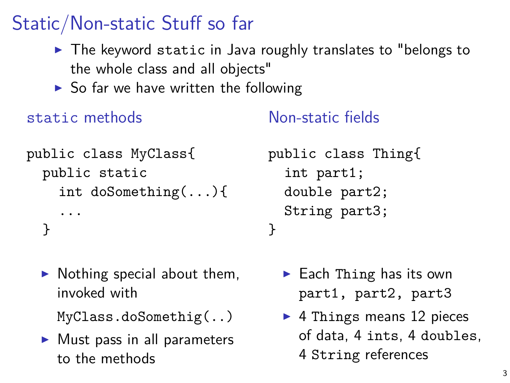# Static/Non-static Stuff so far

- $\triangleright$  The keyword static in Java roughly translates to "belongs to the whole class and all objects"
- $\triangleright$  So far we have written the following

static methods

Non-static fields

```
public class MyClass{
  public static
    int doSomething(...){
    ...
  }
```
 $\blacktriangleright$  Nothing special about them, invoked with

```
MyClass.doSomethig(..)
```
 $\blacktriangleright$  Must pass in all parameters to the methods

```
public class Thing{
  int part1;
  double part2;
  String part3;
}
```
- $\blacktriangleright$  Each Thing has its own part1, part2, part3
- $\blacktriangleright$  4 Things means 12 pieces of data, 4 ints, 4 doubles, 4 String references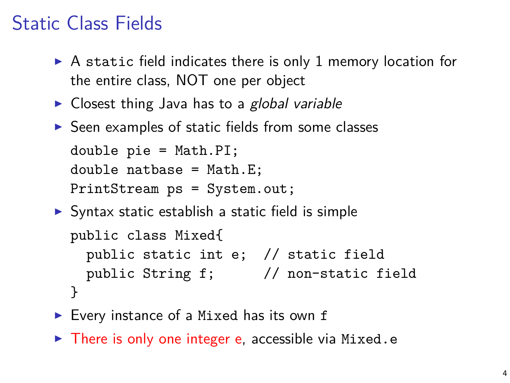# Static Class Fields

- $\triangleright$  A static field indicates there is only 1 memory location for the entire class, NOT one per object
- $\triangleright$  Closest thing Java has to a global variable
- $\triangleright$  Seen examples of static fields from some classes

```
double pie = Math.PI;
double natbase = Math.E;
PrintStream ps = System.out;
```
- $\triangleright$  Syntax static establish a static field is simple public class Mixed{ public static int e; // static field public String f; // non-static field }
- $\blacktriangleright$  Every instance of a Mixed has its own f
- $\triangleright$  There is only one integer e, accessible via Mixed.e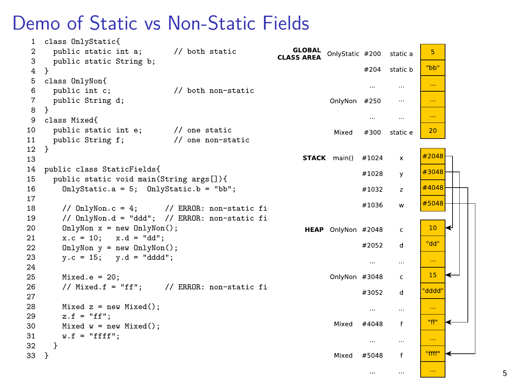#### Demo of Static vs Non-Static Fields

```
1 class OnlyStatic{
 2 public static int a; // both static<br>3 public static String b:
                                                                                     GLOBAL
                                                                                                                                 \overline{5}OnlyStatic #200
                                                                                                                    static a
                                                                                CLASS AREA
 3 public static String b;<br>4 }
                                                                                                                                "bb"
                                                                                                            #204
                                                                                                                    static b
 \begin{matrix} 4 & 3 \\ 5 & 6 \end{matrix}5 class OnlyNon{<br>6 public int c:
                                                                                                                                 \sim\ddotsc6 public int c; // both non-static
        public String d;
                                                                                                 OnlyNon
                                                                                                            #250
                                                                                                                       \ddotsc\sim8 }
 9 class Mixed{
                                                                                                             \cdots\ddotsc10 public static int e; // one static<br>11 public String f: // one non-st;
                                                                                                                                20
                                                                                                  Mixed
                                                                                                            #300
                                                                                                                    static e
11 public String f; // one non-static<br>12 }
12 }
                                                                                                                               #2048
13
                                                                                        STACK main()
                                                                                                           #1024
                                                                                                                       \bar{\mathbf{x}}14 public class StaticFields{
                                                                                                                               #3048
                                                                                                           #1028
                                                                                                                       v
        15 public static void main(String args[]){
16 OnlyStatic.a = 5; OnlyStatic.b = "bb";
                                                                                                                               #4048
                                                                                                           #1032
                                                                                                                       \overline{z}\frac{17}{18}#5048
                                                                                                           #1036
                                                                                                                       w
18 // OnlyNon.c = 4; // ERROR: non-static fi<br>19 // OnlyNon.d = "ddd": // ERROR: non-static fi
           1/ OnlyNon.d = "ddd": / ERROR: non-static fi
20 OnlyNon x = new OhlyNon();<br>21 x \cdot c = 10; x \cdot d = "dd".
                                                                                                                                 10<sup>10</sup>l e
                                                                                        HEAP OnlyNon #2048
                                                                                                                       \epsilon21 x.c = 10; x.d = "dd";<br>
22 OnlyNon y = new OnlvNon"dd"
                                                                                                           #2052
                                                                                                                       \overline{d}OnlvNon y = new OnlvNon():
23 y.c = 15; y.d = "ddd";
                                                                                                                                 \ldots\cdots\ddotsc\frac{24}{25}15
25 Mixed.e = 20;<br>26 // Mixed f =
                                                                                                 OnlyNon #3048
                                                                                                                       \epsilon\frac{1}{2} Mixed.f = "ff": \frac{1}{2} ERROR: non-static fi
                                                                                                                               dddd<sup>'</sup>
                                                                                                           #3052
                                                                                                                       d
\frac{27}{28}28 Mixed z = new Mixed();<br>29 z = "ff"z.f = "ff":"ff"
                                                                                                  Mixed
                                                                                                           #4048\epsilon30 Mixed w = new Mixed();
31 w.f = "ffff";<br>32 }
                                                                                                                                 \sim\ddotsc32 }
                                                                                                                                "ffff"
33 }
                                                                                                  Mixed #5048
                                                                                                                       \mathbf{f}\sim\mathbf{r}
```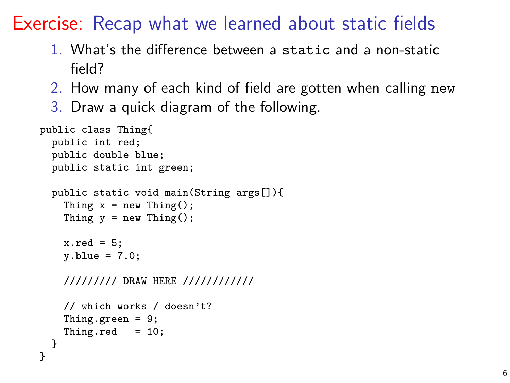Exercise: Recap what we learned about static fields

- 1. What's the difference between a static and a non-static field?
- 2. How many of each kind of field are gotten when calling new
- 3. Draw a quick diagram of the following.

```
public class Thing{
  public int red;
  public double blue;
  public static int green;
  public static void main(String args[]){
    Thing x = new Thing();
    Thing y = new Thing();
    x.read = 5;
    y.blue = 7.0;
    ///////// DRAW HERE ////////////
    // which works / doesn't?
    Thing.green = 9;
    Thing.red = 10;
  }
}
```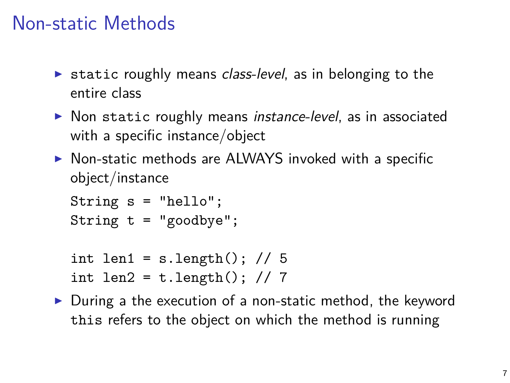#### Non-static Methods

- $\triangleright$  static roughly means *class-level*, as in belonging to the entire class
- $\triangleright$  Non static roughly means instance-level, as in associated with a specific instance/object
- $\triangleright$  Non-static methods are ALWAYS invoked with a specific object/instance

```
String s = "hello";
String t = "goodbye";
```

```
int len1 = s.length(); // 5
int len2 = t.length(); // 7
```
 $\triangleright$  During a the execution of a non-static method, the keyword this refers to the object on which the method is running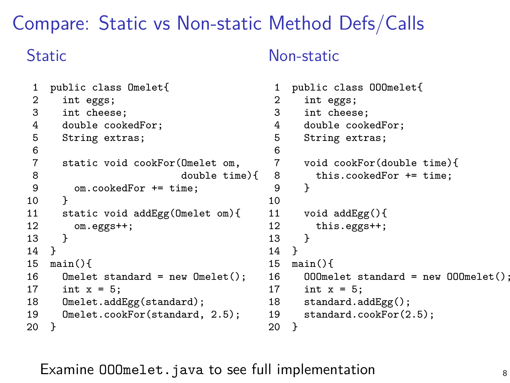#### Compare: Static vs Non-static Method Defs/Calls

#### **Static**

#### Non-static

```
1 public class Omelet{
 2 int eggs;<br>3 int chees
 3 int cheese;<br>4 double cook
 4 double cookedFor;<br>5 String extras;
       String extras;
 6
7 static void cookFor(Omelet om,<br>8 double tim
8 double time){<br>9 om.cookedFor += time;
       om.cookedFor += time;
1011 static void addEgg(Omelet om){<br>12 om.eggs++:
       om.eggs++;
\begin{matrix} 13 \\ 14 \end{matrix}14 \over 1515 main(){<br>16 0mele
16 Omelet standard = new Omelet();<br>17 int x = 5:
       int x = 5;
18 Omelet.addEgg(standard);
19 Omelet.cookFor(standard, 2.5);<br>20 }
20 \,1 public class OOOmelet{
                                                       2 int eggs;<br>3 int chees
                                                              int cheese:
                                                       4 double cookedFor;
                                                       5 String extras;
                                                       \frac{6}{7}7 void cookFor(double time){<br>8 this.cookedFor += time;
                                                                 this.cookedFor += time;
                                                       9 }
                                                      10
                                                      11 void addEgg(){<br>12 this.eggs++:
                                                              this.eggs++;
                                                      13 }
                                                      14 }<br>15 m
                                                      15 main(){
                                                      16 000melet standard = new 000melet();<br>17 int x = 5;
                                                      17 int x = 5;<br>18 standard.a
                                                              standard.addEgg();
                                                      19 standard.cookFor(2.5);
                                                      20 }
```
Examine OOOmelet.java to see full implementation  $\overline{\phantom{a}}$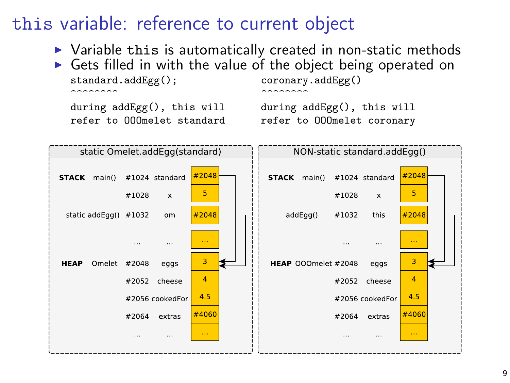#### this variable: reference to current object

- $\triangleright$  Variable this is automatically created in non-static methods
- Gets filled in with the value of the object being operated on standard.addEgg():  $\frac{\text{coronary.addEge}(1)}{\text{coronary.addEge}(1)}$ standard.addEgg(); coronary.addEgg()  $\overbrace{\hspace{2.5cm}}^{\text{2}}$

during addEgg(), this will during addEgg(), this will<br>refer to 000melet standard sefer to 000melet coronary refer to OOOmelet coronary

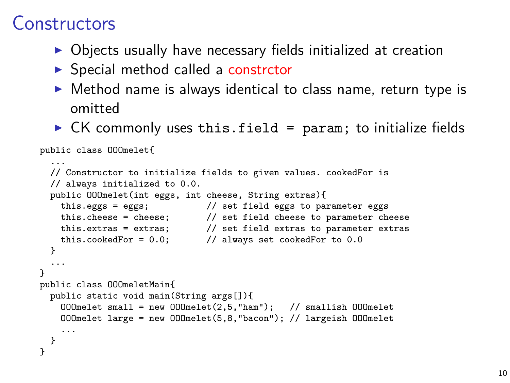#### Constructors

- $\triangleright$  Objects usually have necessary fields initialized at creation
- $\triangleright$  Special method called a constrctor
- $\triangleright$  Method name is always identical to class name, return type is omitted
- $\triangleright$  CK commonly uses this.field = param; to initialize fields

```
public class OOOmelet{
  ...
  // Constructor to initialize fields to given values. cookedFor is
  // always initialized to 0.0.
  public OOOmelet(int eggs, int cheese, String extras){
    this.eggs = eggs; // set field eggs to parameter eggs
    this.cheese = cheese; // set field cheese to parameter cheese
    this.extras = extras; \frac{1}{1} set field extras to parameter extras this.cookedFor = 0.0: \frac{1}{1} always set cookedFor to 0.0
                                  \frac{1}{2} always set cookedFor to 0.0
  }
  ...
}
public class OOOmeletMain{
  public static void main(String args[]){
    OOOmelet small = new OOOmelet(2,5,"ham"); // smallish OOOmelet
    OOOmelet large = new OOOmelet(5,8,"bacon"); // largeish OOOmelet
    ...
  }
}
```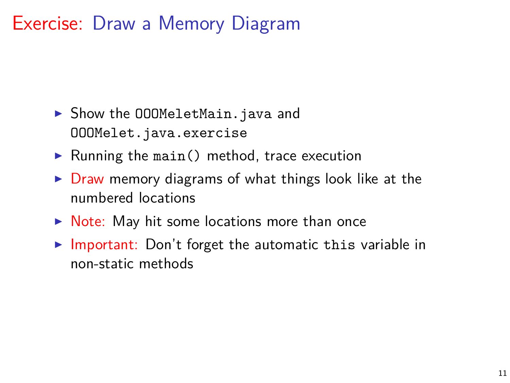# Exercise: Draw a Memory Diagram

- ▶ Show the OOOMeletMain.java and OOOMelet.java.exercise
- $\blacktriangleright$  Running the main() method, trace execution
- $\triangleright$  Draw memory diagrams of what things look like at the numbered locations
- $\triangleright$  Note: May hit some locations more than once
- $\triangleright$  Important: Don't forget the automatic this variable in non-static methods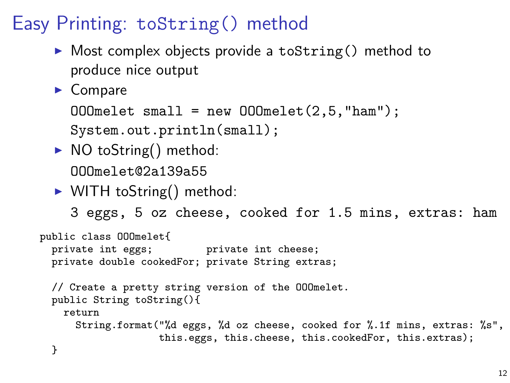# Easy Printing: toString() method

- $\triangleright$  Most complex objects provide a toString() method to produce nice output
- $\blacktriangleright$  Compare

```
000melet small = new 000melet(2,5, "ham");
```
System.out.println(small);

- $\triangleright$  NO toString() method: OOOmelet@2a139a55
- $\triangleright$  WITH toString() method:

3 eggs, 5 oz cheese, cooked for 1.5 mins, extras: ham

```
public class OOOmelet{
 private int eggs; private int cheese;
 private double cookedFor; private String extras;
 // Create a pretty string version of the OOOmelet.
 public String toString(){
   return
     String.format("%d eggs, %d oz cheese, cooked for %.1f mins, extras: %s",
                   this.eggs, this.cheese, this.cookedFor, this.extras);
  }
```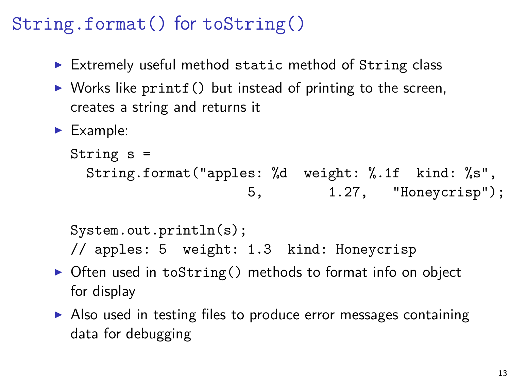## String.format() for toString()

- Extremely useful method static method of String class
- $\triangleright$  Works like printf() but instead of printing to the screen, creates a string and returns it
- $\blacktriangleright$  Example:

```
String s =
 String.format("apples: %d weight: %.1f kind: %s",
                   5, 1.27, "Honeycrisp");
```

```
System.out.println(s);
```
- // apples: 5 weight: 1.3 kind: Honeycrisp
- $\triangleright$  Often used in toString() methods to format info on object for display
- $\triangleright$  Also used in testing files to produce error messages containing data for debugging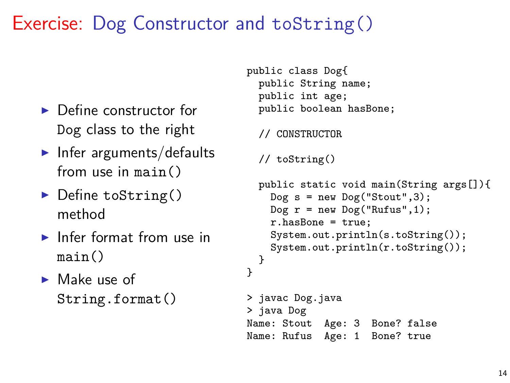## Exercise: Dog Constructor and toString()

- $\blacktriangleright$  Define constructor for Dog class to the right
- $\blacktriangleright$  Infer arguments/defaults from use in main()
- $\blacktriangleright$  Define toString() method
- $\blacktriangleright$  Infer format from use in main()
- $\blacktriangleright$  Make use of String.format()

```
public class Dog{
  public String name;
  public int age;
  public boolean hasBone;
  // CONSTRUCTOR
  // toString()
  public static void main(String args[]){
    \log s = new \log ("Stout", 3);
    \log r = new \log ("Rufus", 1);
    r.hasBone = true;
    System.out.println(s.toString());
    System.out.println(r.toString());
 }
}
> javac Dog.java
> java Dog
Name: Stout Age: 3 Bone? false
Name: Rufus Age: 1 Bone? true
```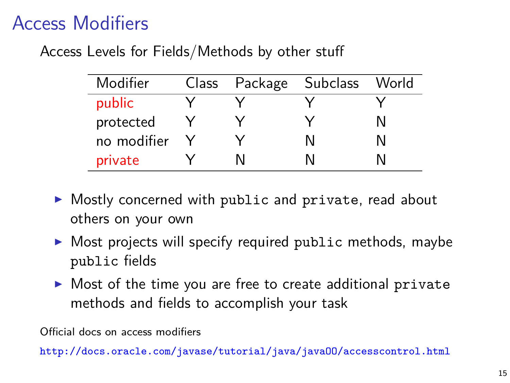# Access Modifiers

Access Levels for Fields/Methods by other stuff

| Modifier    | Class | Package | <b>Subclass</b> | World |
|-------------|-------|---------|-----------------|-------|
| public      |       |         |                 |       |
| protected   |       |         |                 |       |
| no modifier |       |         |                 |       |
| private     |       |         |                 |       |

- $\triangleright$  Mostly concerned with public and private, read about others on your own
- $\triangleright$  Most projects will specify required public methods, maybe public fields
- $\triangleright$  Most of the time you are free to create additional private methods and fields to accomplish your task

Official docs on access modifiers

http://docs.oracle.com/javase/tutorial/java/java00/accesscontrol.html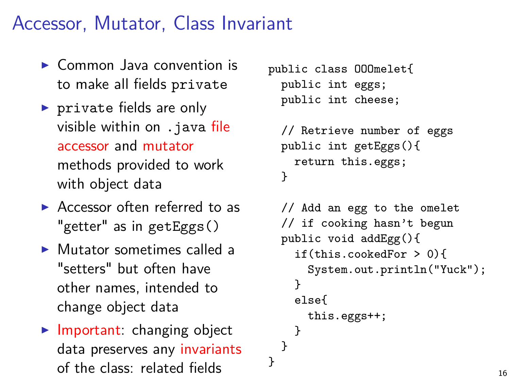#### Accessor, Mutator, Class Invariant

- $\triangleright$  Common Java convention is to make all fields private
- $\triangleright$  private fields are only visible within on .java file accessor and mutator methods provided to work with object data
- $\blacktriangleright$  Accessor often referred to as "getter" as in getEggs()
- $\triangleright$  Mutator sometimes called a "setters" but often have other names, intended to change object data
- $\blacktriangleright$  Important: changing object data preserves any invariants of the class: related fields

```
public class OOOmelet{
 public int eggs;
 public int cheese;
```
}

```
// Retrieve number of eggs
public int getEggs(){
  return this.eggs;
}
```

```
// Add an egg to the omelet
// if cooking hasn't begun
public void addEgg(){
  if(this.cookedFor > 0){
    System.out.println("Yuck");
  }
  else{
    this.eggs++;
  }
}
```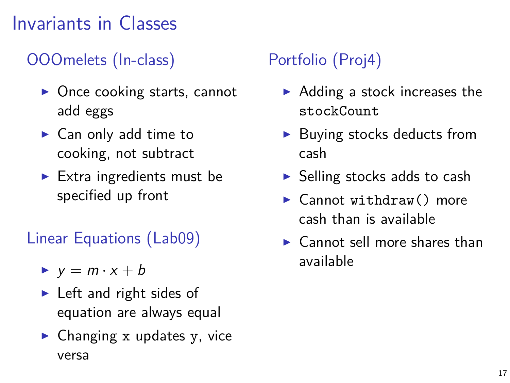# Invariants in Classes

#### OOOmelets (In-class)

- $\triangleright$  Once cooking starts, cannot add eggs
- $\blacktriangleright$  Can only add time to cooking, not subtract
- $\blacktriangleright$  Extra ingredients must be specified up front

#### Linear Equations (Lab09)

- $\blacktriangleright$  y = m · x + b
- $\blacktriangleright$  Left and right sides of equation are always equal
- $\blacktriangleright$  Changing x updates y, vice versa

#### Portfolio (Proj4)

- $\blacktriangleright$  Adding a stock increases the stockCount
- $\blacktriangleright$  Buying stocks deducts from cash
- $\blacktriangleright$  Selling stocks adds to cash
- $\blacktriangleright$  Cannot withdraw() more cash than is available
- $\blacktriangleright$  Cannot sell more shares than available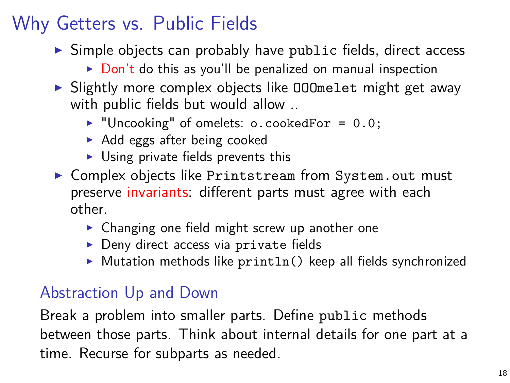# Why Getters vs. Public Fields

- $\triangleright$  Simple objects can probably have public fields, direct access
	- $\triangleright$  Don't do this as you'll be penalized on manual inspection
- $\triangleright$  Slightly more complex objects like 000 melet might get away with public fields but would allow ..
	- $\blacktriangleright$  "Uncooking" of omelets: o.cookedFor = 0.0;
	- $\triangleright$  Add eggs after being cooked
	- $\triangleright$  Using private fields prevents this
- ▶ Complex objects like Printstream from System.out must preserve invariants: different parts must agree with each other.
	- $\triangleright$  Changing one field might screw up another one
	- $\triangleright$  Deny direct access via private fields
	- $\triangleright$  Mutation methods like println() keep all fields synchronized

#### Abstraction Up and Down

Break a problem into smaller parts. Define public methods between those parts. Think about internal details for one part at a time. Recurse for subparts as needed.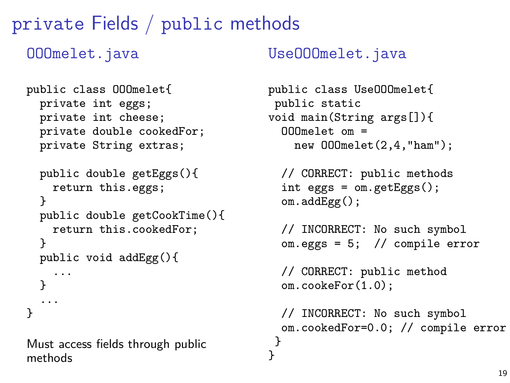private Fields / public methods

OOOmelet.java

```
public class OOOmelet{
  private int eggs;
  private int cheese;
  private double cookedFor;
  private String extras;
```

```
public double getEggs(){
  return this.eggs;
}
public double getCookTime(){
  return this.cookedFor;
}
public void addEgg(){
  ...
}
...
```
Must access fields through public methods

}

UseOOOmelet.java

```
public class UseOOOmelet{
public static
void main(String args[]){
  OOOmelet om =
    new OOOmelet(2,4,"ham");
```

```
// CORRECT: public methods
int eggs = om.getEggs();
om.addEgg();
```

```
// INCORRECT: No such symbol
om.eggs = 5; // compile error
```
// CORRECT: public method om.cookeFor(1.0);

```
// INCORRECT: No such symbol
 om.cookedFor=0.0; // compile error
}
}
```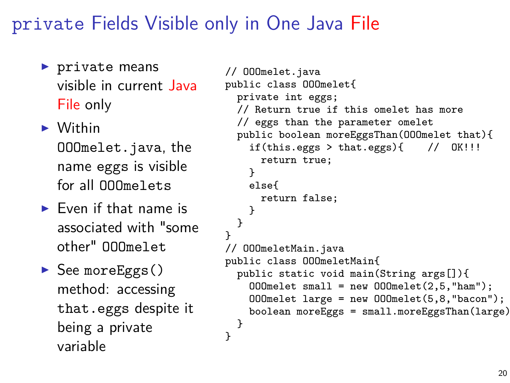#### private Fields Visible only in One Java File

- $\blacktriangleright$  private means visible in current Java File only
- $\blacktriangleright$  Within

OOOmelet.java, the name eggs is visible for all OOOmelets

- $\blacktriangleright$  Even if that name is associated with "some other" OOOmelet
- $\triangleright$  See moreEggs() method: accessing that.eggs despite it being a private variable

```
// OOOmelet.java
public class OOOmelet{
  private int eggs;
  // Return true if this omelet has more
  // eggs than the parameter omelet
  public boolean moreEggsThan(OOOmelet that){
    if(this.eggs > that.eggs){\frac{1}{2} // OK!!!
      return true;
    }
    else{
      return false;
    }
  }
}
// OOOmeletMain.java
public class OOOmeletMain{
  public static void main(String args[]){
    000melet small = new 000melet(2,5,"ham");
    OOOmelet large = new OOOmelet(5,8,"bacon");
    boolean moreEggs = small.moreEggsThan(large);
  }
}
```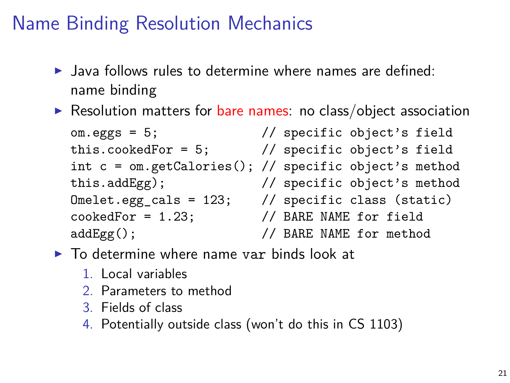# Name Binding Resolution Mechanics

- $\blacktriangleright$  Java follows rules to determine where names are defined: name binding
- Resolution matters for bare names: no class/object association

om.eggs = 5; // specific object's field this.cookedFor = 5; // specific object's field int c = om.getCalories(); // specific object's method this.addEgg); // specific object's method Omelet.egg\_cals = 123; // specific class (static) cookedFor = 1.23; // BARE NAME for field addEgg();  $\frac{1}{2}$  BARE NAME for method

- $\triangleright$  To determine where name var binds look at
	- 1. Local variables
	- 2. Parameters to method
	- 3. Fields of class
	- 4. Potentially outside class (won't do this in CS 1103)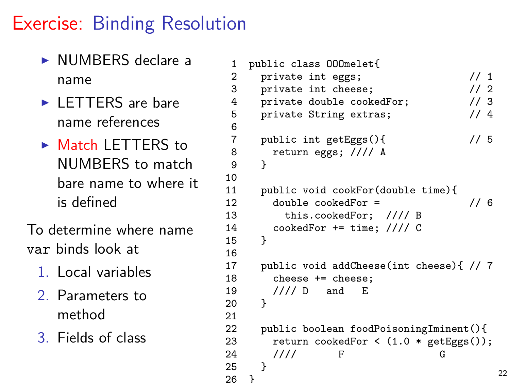## Exercise: Binding Resolution

- $\triangleright$  NUMBERS declare a name
- $\blacktriangleright$  LETTERS are bare name references
- $\triangleright$  Match LETTERS to NUMBERS to match bare name to where it is defined

To determine where name var binds look at

- 1. Local variables
- 2. Parameters to method
- 3. Fields of class

```
1 public class 000melet{<br>2 private int eggs;
 2 private int eggs; \frac{1}{1} private int cheese; \frac{1}{2}private int cheese; \frac{1}{2}<br>private double cookedFor; \frac{1}{3}4 private double cookedFor; // 3<br>5 private String extras; // 4
        private String extras;
 7 public int getEggs(){ \frac{1}{5} // 5
 8 return eggs; //// A
        \mathcal{P}11 public void cookFor(double time){<br>12 double cookedFor =
12 double cookedFor = \frac{12}{13} this.cookedFor: \frac{1}{18} R
13 this.cookedFor; \frac{1}{14} cookedFor += time: \frac{1}{16} C
        \text{codeedFor += time}; \frac{\frac{1}{11}}{C}17 public void addCheese(int cheese){ // 7<br>18 cheese += cheese:
18 cheese += cheese;<br>19 /// D and E
        1/// D and E
```

```
22 public boolean foodPoisoningIminent(){
23 return cookedFor < (1.0 * getEggs());
24 //// F G
25 }
26 } 22
```
 $6\overline{7}$ 

10<br>11

15 } 16<br>17

20 } 21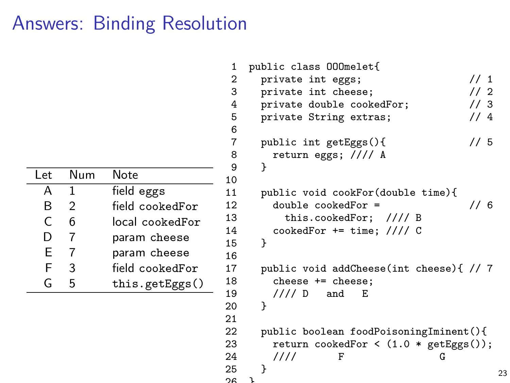# Answers: Binding Resolution

| l et | Num | Note            |
|------|-----|-----------------|
| А    | 1   | field eggs      |
| R    | 2   | field cookedFor |
| C    | 6   | local cookedFor |
| D    |     | param cheese    |
| F    |     | param cheese    |
| F    | 3   | field cookedFor |
| G    | г,  | this.getEggs()  |

| 1        | public class 000melet{                   |
|----------|------------------------------------------|
| 2        | // 1<br>private int eggs;                |
| 3        | 1/2<br>private int cheese;               |
| 4        | 1/3<br>private double cookedFor;         |
| 5        | 1/4<br>private String extras;            |
| 6        |                                          |
| 7        | // 5<br>public int getEggs(){            |
| 8        | return eggs; //// A                      |
| 9        | ł                                        |
| 10       |                                          |
| 11       | public void cookFor(double time){        |
| 12       | // 6<br>$double \, codedFor =$           |
| 13       | this.cookedFor; //// B                   |
| 14       | $codeedFor += time; // // C$             |
| 15       | ł                                        |
| 16       |                                          |
| 17       | public void addCheese(int cheese){ // 7  |
| 18       | cheese += cheese;                        |
| 19       | //// D<br>and<br>Е                       |
| 20       | ł                                        |
| 21       |                                          |
| 22       | public boolean foodPoisoningIminent(){   |
| 23       | return cookedFor < $(1.0 * getEggs())$ ; |
| 24       | ////<br>F<br>G                           |
| 25<br>∩c | }<br>ι                                   |
|          |                                          |

23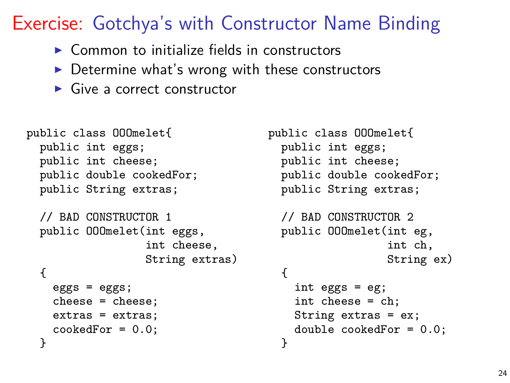## Exercise: Gotchya's with Constructor Name Binding

- $\triangleright$  Common to initialize fields in constructors
- $\triangleright$  Determine what's wrong with these constructors
- $\blacktriangleright$  Give a correct constructor

```
public class OOOmelet{
  public int eggs;
  public int cheese;
  public double cookedFor;
  public String extras;
  // BAD CONSTRUCTOR 1
  public OOOmelet(int eggs,
                  int cheese,
                  String extras)
  {
    eggs = eggs;
    cheese = cheese;
    extras = extras;
    cookedFor = 0.0;
  }
```

```
public class OOOmelet{
  public int eggs;
  public int cheese;
  public double cookedFor;
  public String extras;
  // BAD CONSTRUCTOR 2
  public OOOmelet(int eg,
                  int ch,
                  String ex)
  {
    int eggs = eg;
    int cheese = ch;
    String extras = ex;
    double cookedFor = 0.0;
  }
```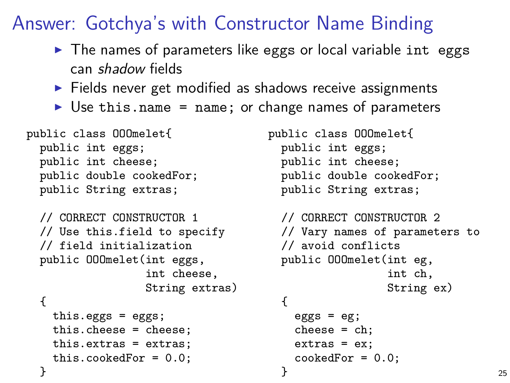Answer: Gotchya's with Constructor Name Binding

- $\triangleright$  The names of parameters like eggs or local variable int eggs can shadow fields
- $\blacktriangleright$  Fields never get modified as shadows receive assignments
- $\triangleright$  Use this.name = name; or change names of parameters

```
public class OOOmelet{
  public int eggs;
  public int cheese;
  public double cookedFor;
  public String extras;
  // CORRECT CONSTRUCTOR 1
  // Use this.field to specify
  // field initialization
  public OOOmelet(int eggs,
                 int cheese,
                 String extras)
  {
   this.eggs = eggs;
    this.cheese = cheese;
   this.extras = extras;
   this.cookedFor = 0.0;
  }
                                   public class OOOmelet{
                                     public int eggs;
                                     public int cheese;
                                     public double cookedFor;
                                     public String extras;
                                     // CORRECT CONSTRUCTOR 2
                                     // Vary names of parameters to
                                     // avoid conflicts
                                     public OOOmelet(int eg,
                                                     int ch,
                                                     String ex)
                                     {
                                       eggs = eg;cheese = ch;
                                       extras = ex;codeedFor = 0.0;
                                     } 25
```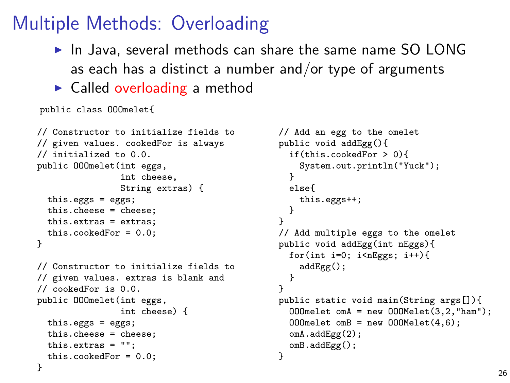#### Multiple Methods: Overloading

- $\blacktriangleright$  In Java, several methods can share the same name SO LONG as each has a distinct a number and/or type of arguments
- $\blacktriangleright$  Called overloading a method

public class OOOmelet{

```
// Constructor to initialize fields to
// given values. cookedFor is always
// initialized to 0.0.
public OOOmelet(int eggs,
                int cheese,
                String extras) {
  this.eggs = eggs;
  this.cheese = cheese;
  this.extras = extras;
 this.cookedFor = 0.0;
}
// Constructor to initialize fields to
// given values. extras is blank and
```

```
// cookedFor is 0.0.
public 000melet(int eggs,
                int cheese) {
  this.eggs = eggs;
  this.cheese = cheese;
  this.extras = "";
  this.cookedFor = 0.0;
}
```

```
// Add an egg to the omelet
public void addEgg(){
  if(this.cookedFor > 0){
    System.out.println("Yuck");
  }
  else{
    this.eggs++;
  }
}
// Add multiple eggs to the omelet
public void addEgg(int nEggs){
  for(int i=0; i<nEggs; i++){
    addEgr():
  }
}
public static void main(String args[]){
  OOOmelet omA = new OOOMelet(3,2,"ham");
  000melet omB = new 000Melet(4, 6);
  omA.addEgg(2);
  omB.addEgg();
}
```